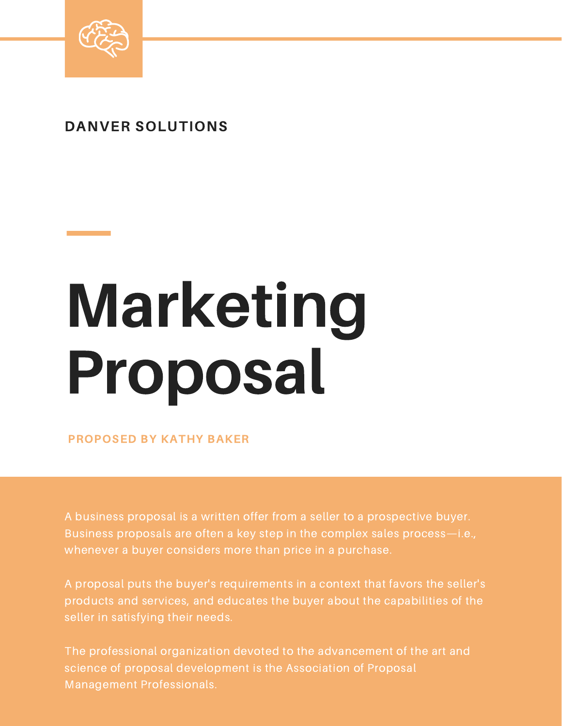

## DANVER SOLUTIONS

## Marketing Proposal

PROPOSED BY KATHY BAKER

A business proposal is a written offer from a seller to a prospective buyer. Business proposals are often a key step in the complex sales process—i.e., whenever a buyer considers more than price in a purchase.

A proposal puts the buyer's requirements in a context that favors the seller's products and services, and educates the buyer about the capabilities of the seller in satisfying their needs.

The professional organization devoted to the advancement of the art and science of proposal development is the Association of Proposal Management Professionals.